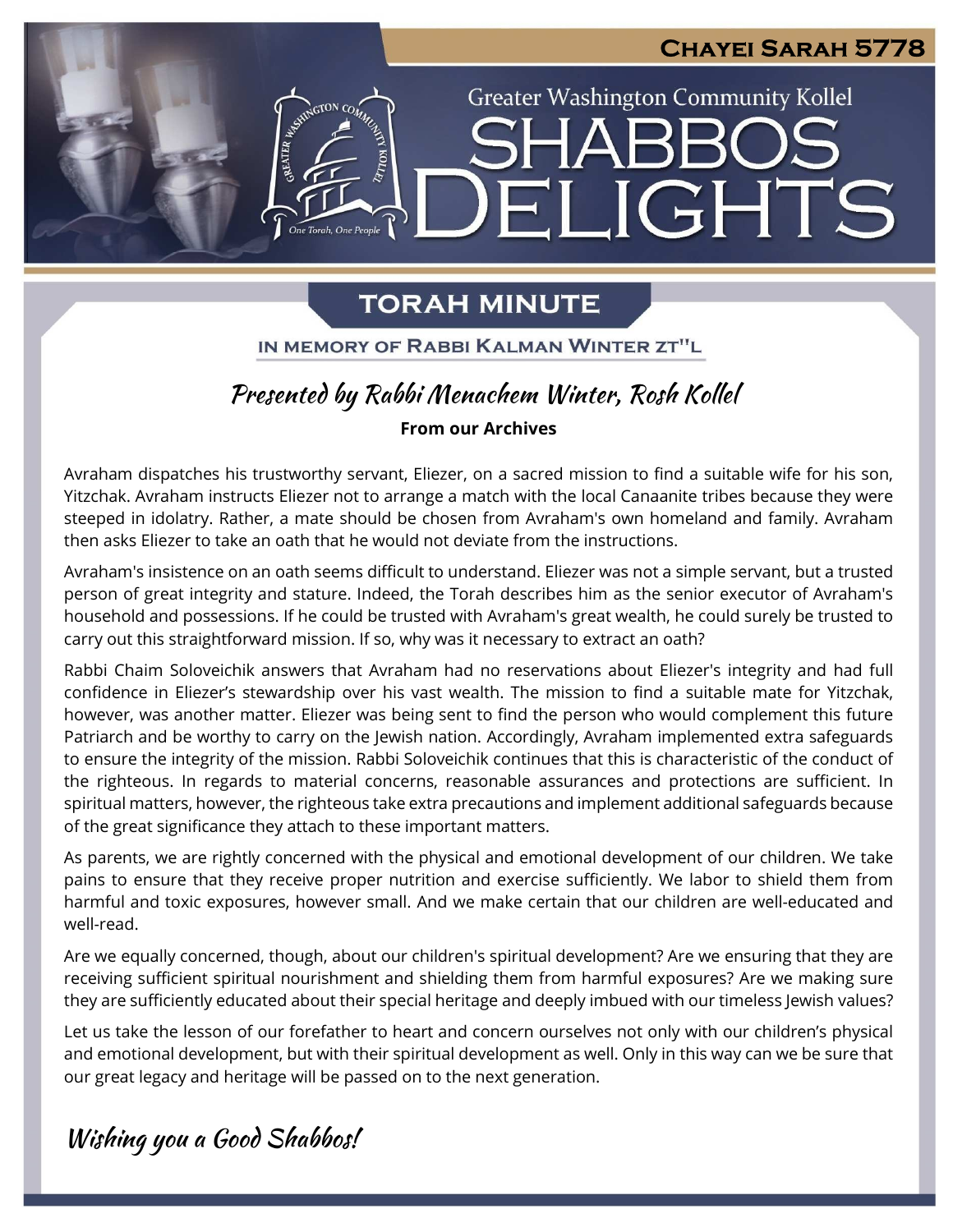### **Chayei Sarah 5778**

**Greater Washington Community Kollel** 

ELIGHTS

# **TORAH MINUTE**

One Torah, One People

IN MEMORY OF RABBI KALMAN WINTER ZT"L

# *Presented by Rabbi Menachem Winter, Rosh Kollel*

### **From our Archives**

Avraham dispatches his trustworthy servant, Eliezer, on a sacred mission to find a suitable wife for his son, Yitzchak. Avraham instructs Eliezer not to arrange a match with the local Canaanite tribes because they were steeped in idolatry. Rather, a mate should be chosen from Avraham's own homeland and family. Avraham then asks Eliezer to take an oath that he would not deviate from the instructions.

Avraham's insistence on an oath seems difficult to understand. Eliezer was not a simple servant, but a trusted person of great integrity and stature. Indeed, the Torah describes him as the senior executor of Avraham's household and possessions. If he could be trusted with Avraham's great wealth, he could surely be trusted to carry out this straightforward mission. If so, why was it necessary to extract an oath?

Rabbi Chaim Soloveichik answers that Avraham had no reservations about Eliezer's integrity and had full confidence in Eliezer's stewardship over his vast wealth. The mission to find a suitable mate for Yitzchak, however, was another matter. Eliezer was being sent to find the person who would complement this future Patriarch and be worthy to carry on the Jewish nation. Accordingly, Avraham implemented extra safeguards to ensure the integrity of the mission. Rabbi Soloveichik continues that this is characteristic of the conduct of the righteous. In regards to material concerns, reasonable assurances and protections are sufficient. In spiritual matters, however, the righteous take extra precautions and implement additional safeguards because of the great significance they attach to these important matters.

As parents, we are rightly concerned with the physical and emotional development of our children. We take pains to ensure that they receive proper nutrition and exercise sufficiently. We labor to shield them from harmful and toxic exposures, however small. And we make certain that our children are well-educated and well-read.

Are we equally concerned, though, about our children's spiritual development? Are we ensuring that they are receiving sufficient spiritual nourishment and shielding them from harmful exposures? Are we making sure they are sufficiently educated about their special heritage and deeply imbued with our timeless Jewish values?

Let us take the lesson of our forefather to heart and concern ourselves not only with our children's physical and emotional development, but with their spiritual development as well. Only in this way can we be sure that our great legacy and heritage will be passed on to the next generation.

*Wishing you a Good Shabbos!* 

l